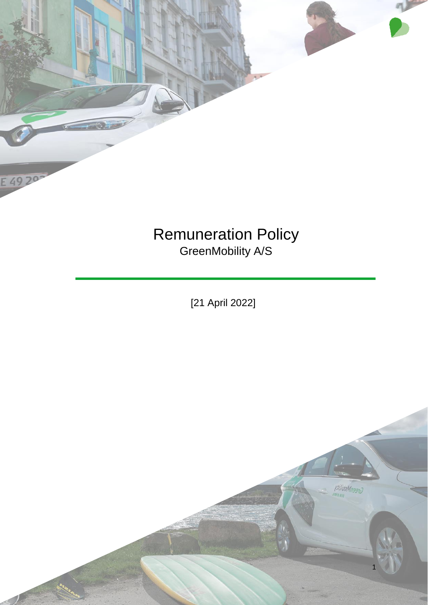

E 49 20

GreenMobility A/S

[21 April 2022]

1

villidoMnss10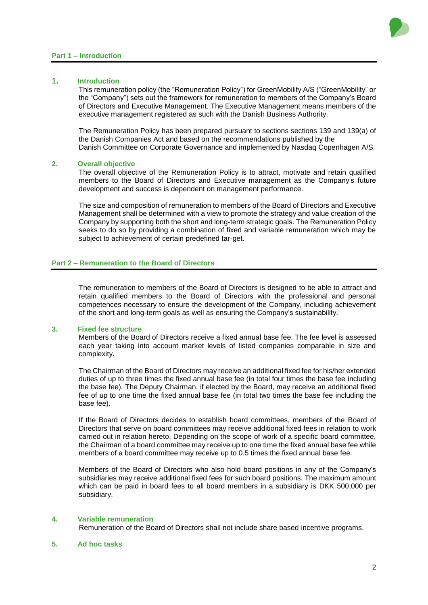### **Part 1 – Introduction**



# **1. Introduction**

This remuneration policy (the "Remuneration Policy") for GreenMobility A/S ("GreenMobility" or the "Company") sets out the framework for remuneration to members of the Company's Board of Directors and Executive Management. The Executive Management means members of the executive management registered as such with the Danish Business Authority.

The Remuneration Policy has been prepared pursuant to sections sections 139 and 139(a) of the Danish Companies Act and based on the recommendations published by the Danish Committee on Corporate Governance and implemented by Nasdaq Copenhagen A/S.

## **2. Overall objective**

The overall objective of the Remuneration Policy is to attract, motivate and retain qualified members to the Board of Directors and Executive management as the Company's future development and success is dependent on management performance.

The size and composition of remuneration to members of the Board of Directors and Executive Management shall be determined with a view to promote the strategy and value creation of the Company by supporting both the short and long-term strategic goals. The Remuneration Policy seeks to do so by providing a combination of fixed and variable remuneration which may be subject to achievement of certain predefined tar-get.

# **Part 2 – Remuneration to the Board of Directors**

The remuneration to members of the Board of Directors is designed to be able to attract and retain qualified members to the Board of Directors with the professional and personal competences necessary to ensure the development of the Company, including achievement of the short and long-term goals as well as ensuring the Company's sustainability.

# **3. Fixed fee structure**

Members of the Board of Directors receive a fixed annual base fee. The fee level is assessed each year taking into account market levels of listed companies comparable in size and complexity.

The Chairman of the Board of Directors may receive an additional fixed fee for his/her extended duties of up to three times the fixed annual base fee (in total four times the base fee including the base fee). The Deputy Chairman, if elected by the Board, may receive an additional fixed fee of up to one time the fixed annual base fee (in total two times the base fee including the base fee).

If the Board of Directors decides to establish board committees, members of the Board of Directors that serve on board committees may receive additional fixed fees in relation to work carried out in relation hereto. Depending on the scope of work of a specific board committee, the Chairman of a board committee may receive up to one time the fixed annual base fee while members of a board committee may receive up to 0.5 times the fixed annual base fee.

Members of the Board of Directors who also hold board positions in any of the Company's subsidiaries may receive additional fixed fees for such board positions. The maximum amount which can be paid in board fees to all board members in a subsidiary is DKK 500,000 per subsidiary.

## **4. Variable remuneration**

Remuneration of the Board of Directors shall not include share based incentive programs.

# **5. Ad hoc tasks**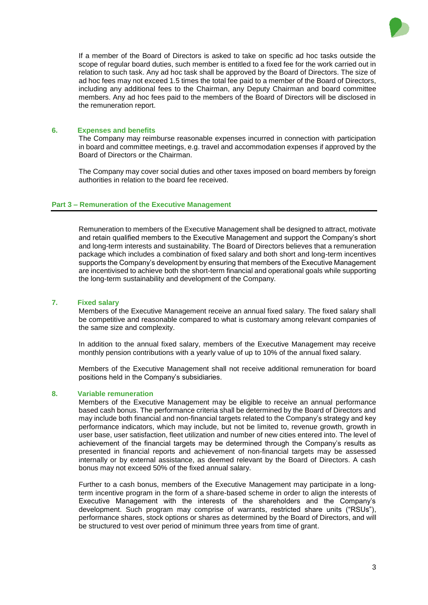

If a member of the Board of Directors is asked to take on specific ad hoc tasks outside the scope of regular board duties, such member is entitled to a fixed fee for the work carried out in relation to such task. Any ad hoc task shall be approved by the Board of Directors. The size of ad hoc fees may not exceed 1.5 times the total fee paid to a member of the Board of Directors, including any additional fees to the Chairman, any Deputy Chairman and board committee members. Any ad hoc fees paid to the members of the Board of Directors will be disclosed in the remuneration report.

# **6. Expenses and benefits**

The Company may reimburse reasonable expenses incurred in connection with participation in board and committee meetings, e.g. travel and accommodation expenses if approved by the Board of Directors or the Chairman.

The Company may cover social duties and other taxes imposed on board members by foreign authorities in relation to the board fee received.

# **Part 3 – Remuneration of the Executive Management**

Remuneration to members of the Executive Management shall be designed to attract, motivate and retain qualified members to the Executive Management and support the Company's short and long-term interests and sustainability. The Board of Directors believes that a remuneration package which includes a combination of fixed salary and both short and long-term incentives supports the Company's development by ensuring that members of the Executive Management are incentivised to achieve both the short-term financial and operational goals while supporting the long-term sustainability and development of the Company.

# **7. Fixed salary**

Members of the Executive Management receive an annual fixed salary. The fixed salary shall be competitive and reasonable compared to what is customary among relevant companies of the same size and complexity.

In addition to the annual fixed salary, members of the Executive Management may receive monthly pension contributions with a yearly value of up to 10% of the annual fixed salary.

Members of the Executive Management shall not receive additional remuneration for board positions held in the Company's subsidiaries.

## **8. Variable remuneration**

Members of the Executive Management may be eligible to receive an annual performance based cash bonus. The performance criteria shall be determined by the Board of Directors and may include both financial and non-financial targets related to the Company's strategy and key performance indicators, which may include, but not be limited to, revenue growth, growth in user base, user satisfaction, fleet utilization and number of new cities entered into. The level of achievement of the financial targets may be determined through the Company's results as presented in financial reports and achievement of non-financial targets may be assessed internally or by external assistance, as deemed relevant by the Board of Directors. A cash bonus may not exceed 50% of the fixed annual salary.

Further to a cash bonus, members of the Executive Management may participate in a longterm incentive program in the form of a share-based scheme in order to align the interests of Executive Management with the interests of the shareholders and the Company's development. Such program may comprise of warrants, restricted share units ("RSUs"), performance shares, stock options or shares as determined by the Board of Directors, and will be structured to vest over period of minimum three years from time of grant.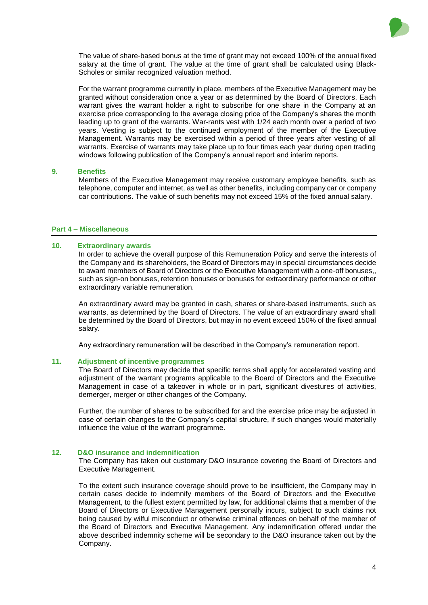

The value of share-based bonus at the time of grant may not exceed 100% of the annual fixed salary at the time of grant. The value at the time of grant shall be calculated using Black-Scholes or similar recognized valuation method.

For the warrant programme currently in place, members of the Executive Management may be granted without consideration once a year or as determined by the Board of Directors. Each warrant gives the warrant holder a right to subscribe for one share in the Company at an exercise price corresponding to the average closing price of the Company's shares the month leading up to grant of the warrants. War-rants vest with 1/24 each month over a period of two years. Vesting is subject to the continued employment of the member of the Executive Management. Warrants may be exercised within a period of three years after vesting of all warrants. Exercise of warrants may take place up to four times each year during open trading windows following publication of the Company's annual report and interim reports.

#### **9. Benefits**

Members of the Executive Management may receive customary employee benefits, such as telephone, computer and internet, as well as other benefits, including company car or company car contributions. The value of such benefits may not exceed 15% of the fixed annual salary.

### **Part 4 – Miscellaneous**

### **10. Extraordinary awards**

In order to achieve the overall purpose of this Remuneration Policy and serve the interests of the Company and its shareholders, the Board of Directors may in special circumstances decide to award members of Board of Directors or the Executive Management with a one-off bonuses,, such as sign-on bonuses, retention bonuses or bonuses for extraordinary performance or other extraordinary variable remuneration.

An extraordinary award may be granted in cash, shares or share-based instruments, such as warrants, as determined by the Board of Directors. The value of an extraordinary award shall be determined by the Board of Directors, but may in no event exceed 150% of the fixed annual salary.

Any extraordinary remuneration will be described in the Company's remuneration report.

#### **11. Adjustment of incentive programmes**

The Board of Directors may decide that specific terms shall apply for accelerated vesting and adjustment of the warrant programs applicable to the Board of Directors and the Executive Management in case of a takeover in whole or in part, significant divestures of activities, demerger, merger or other changes of the Company.

Further, the number of shares to be subscribed for and the exercise price may be adjusted in case of certain changes to the Company's capital structure, if such changes would materially influence the value of the warrant programme.

### **12. D&O insurance and indemnification**

The Company has taken out customary D&O insurance covering the Board of Directors and Executive Management.

To the extent such insurance coverage should prove to be insufficient, the Company may in certain cases decide to indemnify members of the Board of Directors and the Executive Management, to the fullest extent permitted by law, for additional claims that a member of the Board of Directors or Executive Management personally incurs, subject to such claims not being caused by wilful misconduct or otherwise criminal offences on behalf of the member of the Board of Directors and Executive Management. Any indemnification offered under the above described indemnity scheme will be secondary to the D&O insurance taken out by the Company.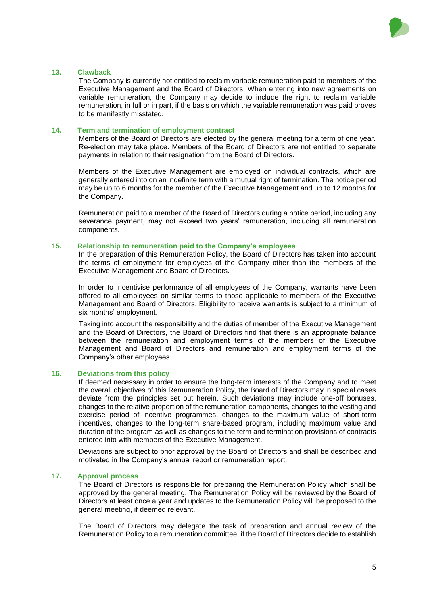

### **13. Clawback**

The Company is currently not entitled to reclaim variable remuneration paid to members of the Executive Management and the Board of Directors. When entering into new agreements on variable remuneration, the Company may decide to include the right to reclaim variable remuneration, in full or in part, if the basis on which the variable remuneration was paid proves to be manifestly misstated.

## **14. Term and termination of employment contract**

Members of the Board of Directors are elected by the general meeting for a term of one year. Re-election may take place. Members of the Board of Directors are not entitled to separate payments in relation to their resignation from the Board of Directors.

Members of the Executive Management are employed on individual contracts, which are generally entered into on an indefinite term with a mutual right of termination. The notice period may be up to 6 months for the member of the Executive Management and up to 12 months for the Company.

Remuneration paid to a member of the Board of Directors during a notice period, including any severance payment, may not exceed two years' remuneration, including all remuneration components.

### **15. Relationship to remuneration paid to the Company's employees**

In the preparation of this Remuneration Policy, the Board of Directors has taken into account the terms of employment for employees of the Company other than the members of the Executive Management and Board of Directors.

In order to incentivise performance of all employees of the Company, warrants have been offered to all employees on similar terms to those applicable to members of the Executive Management and Board of Directors. Eligibility to receive warrants is subject to a minimum of six months' employment.

Taking into account the responsibility and the duties of member of the Executive Management and the Board of Directors, the Board of Directors find that there is an appropriate balance between the remuneration and employment terms of the members of the Executive Management and Board of Directors and remuneration and employment terms of the Company's other employees.

### **16. Deviations from this policy**

If deemed necessary in order to ensure the long-term interests of the Company and to meet the overall objectives of this Remuneration Policy, the Board of Directors may in special cases deviate from the principles set out herein. Such deviations may include one-off bonuses, changes to the relative proportion of the remuneration components, changes to the vesting and exercise period of incentive programmes, changes to the maximum value of short-term incentives, changes to the long-term share-based program, including maximum value and duration of the program as well as changes to the term and termination provisions of contracts entered into with members of the Executive Management.

Deviations are subject to prior approval by the Board of Directors and shall be described and motivated in the Company's annual report or remuneration report.

### **17. Approval process**

The Board of Directors is responsible for preparing the Remuneration Policy which shall be approved by the general meeting. The Remuneration Policy will be reviewed by the Board of Directors at least once a year and updates to the Remuneration Policy will be proposed to the general meeting, if deemed relevant.

The Board of Directors may delegate the task of preparation and annual review of the Remuneration Policy to a remuneration committee, if the Board of Directors decide to establish